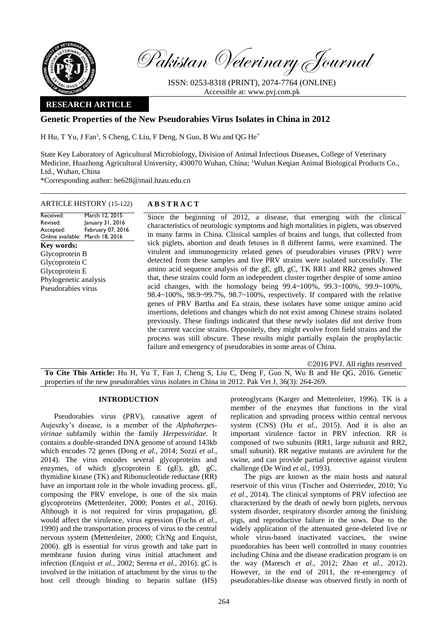

Pakistan Veterinary Journal

ISSN: 0253-8318 (PRINT), 2074-7764 (ONLINE) Accessible at: [www.pvj.com.pk](http://www.pvj.com.pk/)

## **RESEARCH ARTICLE**

# **Genetic Properties of the New Pseudorabies Virus Isolates in China in 2012**

H Hu, T Yu, J Fan<sup>1</sup>, S Cheng, C Liu, F Deng, N Guo, B Wu and QG He<sup>\*</sup>

State Key Laboratory of Agricultural Microbiology, Division of Animal Infectious Diseases, College of Veterinary Medicine, Huazhong Agricultural University, 430070 Wuhan, China; <sup>1</sup>Wuhan Keqian Animal Biological Products Co., Ltd., Wuhan, China

\*Corresponding author: he628@mail.hzau.edu.cn

### ARTICLE HISTORY (15-122) **A B S T R A C T**

Received: Revised: Accepted: Online available: March 18, 2016 March 12, 2015 January 31, 2016 February 07, 2016 **Key words:**  Glycoprotein B Glycoprotein C Glycoprotein E Phylogenetic analysis Pseudorabies virus

Since the beginning of 2012, a disease, that emerging with the clinical characteristics of neurologic symptoms and high mortalities in piglets, was observed in many farms in China. Clinical samples of brains and lungs, that collected from sick piglets, abortion and death fetuses in 8 different farms, were examined. The virulent and immunogenicity related genes of pseudorabies viruses (PRV) were detected from these samples and five PRV strains were isolated successfully. The amino acid sequence analysis of the gE, gB, gC, TK RR1 and RR2 genes showed that, these strains could form an independent cluster together despite of some amino acid changes, with the homology being 99.4~100%, 99.3~100%, 99.9~100%, 98.4~100%, 98.9~99.7%, 98.7~100%, respectively. If compared with the relative genes of PRV Bartha and Ea strain, these isolates have some unique amino acid insertions, deletions and changes which do not exist among Chinese strains isolated previously. These findings indicated that these newly isolates did not derive from the current vaccine strains. Oppositely, they might evolve from field strains and the process was still obscure. These results might partially explain the prophylactic failure and emergency of pseudorabies in some areas of China.

©2016 PVJ. All rights reserved

**To Cite This Article:** Hu H, Yu T, Fan J, Cheng S, Liu C, Deng F, Guo N, Wu B and He QG, 2016. Genetic properties of the new pseudorabies virus isolates in China in 2012. Pak Vet J, 36(3): 264-269.

## **INTRODUCTION**

Pseudorabies virus (PRV), causative agent of Aujeszky's disease, is a member of the *Alphaherpesvirinae* subfamily within the family *Herpesviridae*. It contains a double-stranded DNA genome of around 143kb which encodes 72 genes (Dong *et al.*, 2014; Sozzi *et al.*, 2014). The virus encodes several glycoproteins and enzymes, of which glycoprotein E (gE), gB, gC, thymidine kinase (TK) and Ribonucleotide reductase (RR) have an important role in the whole invading process. gE, composing the PRV envelope, is one of the six main glycoproteins (Mettenleiter, 2000; Pontes *et al.*, 2016). Although it is not required for virus propagation, gE would affect the virulence, virus egression (Fuchs *et al.*, 1990) and the transportation process of virus to the central nervous system (Mettenleiter, 2000; Ch'Ng and Enquist, 2006). gB is essential for virus growth and take part in membrane fusion during virus initial attachment and infection (Enquist *et al.*, 2002; Serena *et al.*, 2016). gC is involved in the initiation of attachment by the virus to the host cell through binding to heparin sulfate (HS)

proteoglycans (Karger and Mettenleiter, 1996). TK is a member of the enzymes that functions in the viral replication and spreading process within central nervous system (CNS) (Hu *et al.*, 2015). And it is also an important virulence factor in PRV infection. RR is composed of two subunits (RR1, large subunit and RR2, small subunit). RR negative mutants are avirulent for the swine, and can provide partial protective against virulent challenge (De Wind *et al.*, 1993).

The pigs are known as the main hosts and natural reservoir of this virus (Tischer and Osterrieder, 2010; Yu *et al.*, 2014). The clinical symptoms of PRV infection are characterized by the death of newly born piglets, nervous system disorder, respiratory disorder among the finishing pigs, and reproductive failure in the sows. Due to the widely application of the attenuated gene-deleted live or whole virus-based inactivated vaccines, the swine psuedorabies has been well controlled in many countries including China and the disease eradication program is on the way (Maresch *et al.*, 2012; Zhao *et al.*, 2012). However, in the end of 2011, the re-emergency of pseudorabies-like disease was observed firstly in north of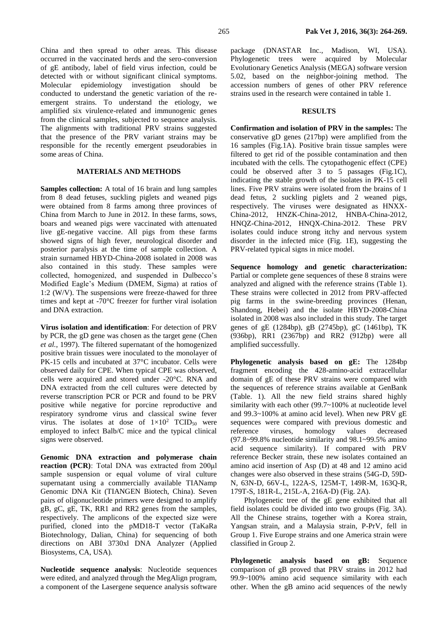China and then spread to other areas. This disease occurred in the vaccinated herds and the sero-conversion of gE antibody, label of field virus infection, could be detected with or without significant clinical symptoms. Molecular epidemiology investigation should be conducted to understand the genetic variation of the reemergent strains. To understand the etiology, we amplified six virulence-related and immunogenic genes from the clinical samples, subjected to sequence analysis. The alignments with traditional PRV strains suggested that the presence of the PRV variant strains may be responsible for the recently emergent pseudorabies in some areas of China.

## **MATERIALS AND METHODS**

**Samples collection:** A total of 16 brain and lung samples from 8 dead fetuses, suckling piglets and weaned pigs were obtained from 8 farms among three provinces of China from March to June in 2012. In these farms, sows, boars and weaned pigs were vaccinated with attenuated live gE-negative vaccine. All pigs from these farms showed signs of high fever, neurological disorder and posterior paralysis at the time of sample collection. A strain surnamed HBYD-China-2008 isolated in 2008 was also contained in this study. These samples were collected, homogenized, and suspended in Dulbecco's Modified Eagle's Medium (DMEM, Sigma) at ratios of 1:2 (W/V). The suspensions were freeze-thawed for three times and kept at -70°C freezer for further viral isolation and DNA extraction.

**Virus isolation and identification**: For detection of PRV by PCR, the gD gene was chosen as the target gene (Chen *et al.*, 1997). The filtered supernatant of the homogenized positive brain tissues were inoculated to the monolayer of PK-15 cells and incubated at 37°C incubator. Cells were observed daily for CPE. When typical CPE was observed, cells were acquired and stored under -20°C. RNA and DNA extracted from the cell cultures were detected by reverse transcription PCR or PCR and found to be PRV positive while negative for porcine reproductive and respiratory syndrome virus and classical swine fever virus. The isolates at dose of  $1 \times 10^2$  TCID<sub>50</sub> were employed to infect Balb/C mice and the typical clinical signs were observed.

**Genomic DNA extraction and polymerase chain reaction (PCR)**: Total DNA was extracted from 200μl sample suspension or equal volume of viral culture supernatant using a commercially available TIANamp Genomic DNA Kit (TIANGEN Biotech, China). Seven pairs of oligonucleotide primers were designed to amplify gB, gC, gE, TK, RR1 and RR2 genes from the samples, respectively. The amplicons of the expected size were purified, cloned into the pMD18-T vector (TaKaRa Biotechnology, Dalian, China) for sequencing of both directions on ABI 3730xl DNA Analyzer (Applied Biosystems, CA, USA).

**Nucleotide sequence analysis**: Nucleotide sequences were edited, and analyzed through the MegAlign program, a component of the Lasergene sequence analysis software package (DNASTAR Inc., Madison, WI, USA). Phylogenetic trees were acquired by Molecular Evolutionary Genetics Analysis (MEGA) software version 5.02, based on the neighbor-joining method. The accession numbers of genes of other PRV reference strains used in the research were contained in table 1.

#### **RESULTS**

**Confirmation and isolation of PRV in the samples:** The conservative gD genes (217bp) were amplified from the 16 samples (Fig.1A). Positive brain tissue samples were filtered to get rid of the possible contamination and then incubated with the cells. The cytopathogenic effect (CPE) could be observed after 3 to 5 passages (Fig.1C), indicating the stable growth of the isolates in PK-15 cell lines. Five PRV strains were isolated from the brains of 1 dead fetus, 2 suckling piglets and 2 weaned pigs, respectively. The viruses were designated as HNXX-China-2012, HNZK-China-2012, HNBA-China-2012, HNQZ-China-2012, HNQX-China-2012. These PRV isolates could induce strong itchy and nervous system disorder in the infected mice (Fig. 1E), suggesting the PRV-related typical signs in mice model.

**Sequence homology and genetic characterization:**  Partial or complete gene sequences of these 8 strains were analyzed and aligned with the reference strains (Table 1). These strains were collected in 2012 from PRV-affected pig farms in the swine-breeding provinces (Henan, Shandong, Hebei) and the isolate HBYD-2008-China isolated in 2008 was also included in this study. The target genes of gE (1284bp), gB (2745bp), gC (1461bp), TK (936bp), RR1 (2367bp) and RR2 (912bp) were all amplified successfully.

**Phylogenetic analysis based on gE:** The 1284bp fragment encoding the 428-amino-acid extracellular domain of gE of these PRV strains were compared with the sequences of reference strains available at GenBank (Table. 1). All the new field strains shared highly similarity with each other (99.7~100% at nucleotide level and 99.3~100% at amino acid level). When new PRV gE sequences were compared with previous domestic and reference viruses, homology values decreased (97.8~99.8% nucleotide similarity and 98.1~99.5% amino acid sequence similarity). If compared with PRV reference Becker strain, these new isolates contained an amino acid insertion of Asp (D) at 48 and 12 amino acid changes were also observed in these strains (54G-D, 59D-N, 63N-D, 66V-L, 122A-S, 125M-T, 149R-M, 163Q-R, 179T-S, 181R-L, 215L-A, 216A-D) (Fig. 2A).

Phylogenetic tree of the gE gene exhibited that all field isolates could be divided into two groups (Fig. 3A). All the Chinese strains, together with a Korea strain, Yangsan strain, and a [Malaysia](app:ds:Malaysia) strain, P-PrV, fell in Group 1. Five Europe strains and one America strain were classified in Group 2.

**Phylogenetic analysis based on gB:** Sequence comparison of gB proved that PRV strains in 2012 had 99.9~100% amino acid sequence similarity with each other. When the gB amino acid sequences of the newly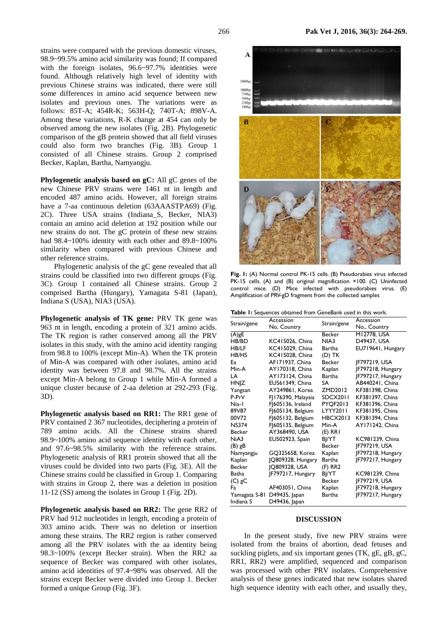strains were compared with the previous domestic viruses, 98.9~99.5% amino acid similarity was found; If compared with the foreign isolates, 96.6~97.7% identities were found. Although relatively high level of identity with previous Chinese strains was indicated, there were still some differences in amino acid sequence between new isolates and previous ones. The variations were as follows: 85T-A; 454R-K; 563H-Q; 740T-A; 898V-A. Among these variations, R-K change at 454 can only be observed among the new isolates (Fig. 2B). Phylogenetic comparison of the gB protein showed that all field viruses could also form two branches (Fig. 3B). Group 1 consisted of all Chinese strains. Group 2 comprised Becker, Kaplan, Bartha, Namyangju.

**Phylogenetic analysis based on gC:** All gC genes of the new Chinese PRV strains were 1461 nt in length and encoded 487 amino acids. However, all foreign strains have a 7-aa continuous deletion (63AAASTPA69) (Fig. 2C). Three USA strains (Indiana\_S, Becker, NIA3) contain an amino acid deletion at 192 position while our new strains do not. The gC protein of these new strains had 98.4~100% identity with each other and 89.8~100% similarity when compared with previous Chinese and other reference strains.

Phylogenetic analysis of the gC gene revealed that all strains could be classified into two different groups (Fig. 3C). Group 1 contained all Chinese strains. Group 2 comprised Bartha (Hungary), Yamagata S-81 (Japan), Indiana S (USA), NIA3 (USA).

**Phylogenetic analysis of TK gene: PRV TK gene was** 963 nt in length, encoding a protein of 321 amino acids. The TK region is rather conserved among all the PRV isolates in this study, with the amino acid identity ranging from 98.8 to 100% (except Min-A). When the TK protein of Min-A was compared with other isolates, amino acid identity was between 97.8 and 98.7%. All the strains except Min-A belong to Group 1 while Min-A formed a unique cluster because of 2-aa deletion at 292-293 (Fig. 3D).

**Phylogenetic analysis based on RR1:** The RR1 gene of PRV contained 2 367 nucleotides, deciphering a protein of 789 amino acids. All the Chinese strains shared 98.9~100% amino acid sequence identity with each other, and 97.6~98.5% similarity with the reference strains. Phylogenetic analysis of RR1 protein showed that all the viruses could be divided into two parts (Fig. 3E). All the Chinese strains could be classified in Group 1. Comparing with strains in Group 2, there was a deletion in position 11-12 (SS) among the isolates in Group 1 (Fig. 2D).

**Phylogenetic analysis based on RR2:** The gene RR2 of PRV had 912 nucleotides in length, encoding a protein of 303 amino acids. There was no deletion or insertion among these strains. The RR2 region is rather conserved among all the PRV isolates with the aa identity being 98.3~100% (except Becker strain). When the RR2 aa sequence of Becker was compared with other isolates, amino acid identities of 97.4~98% was observed. All the strains except Becker were divided into Group 1. Becker formed a unique Group (Fig. 3F).



**Fig. 1:** (A) Normal control PK-15 cells. (B) Pseudorabies virus infected PK-15 cells. (A) and (B) original magnification ×100. (C) Uninfected control mice. (D) Mice infected with pseudorabies virus. (E) Amplification of PRV-gD fragment from the collected samples

| <b>Table 1:</b> Sequences obtained from GeneBank used in this work. |  |
|---------------------------------------------------------------------|--|
|---------------------------------------------------------------------|--|

| Strain/gene   | Accession          |                 | Accession            |  |  |
|---------------|--------------------|-----------------|----------------------|--|--|
|               | No, Country        | Strain/gene     | No., Country         |  |  |
| $(A)$ gE      |                    | <b>Becker</b>   | M12778, USA          |  |  |
| HB/BD         | KC415026, China    | NIA3            | D49437, USA          |  |  |
| HB/LF         | KC415029, China    | Bartha          | EU719641, Hungary    |  |  |
| HB/HS         | KC415028, China    | (D) TK          |                      |  |  |
| Ea            | AF171937, China    | <b>Becker</b>   | JF797219, USA        |  |  |
| Min-A         | AY170318, China    | Kaplan          | JF797218, Hungary    |  |  |
| ΙA            | AY173124, China    | <b>Bartha</b>   | IF797217, Hungary    |  |  |
| HNJZ          | EU561349, China    | SA              | AB440241, China      |  |  |
| Yangsan       | AY249861, Korea    | ZMD2012         | KF381398, China      |  |  |
| P-PrV         | FI176390, Malaysia | SDCX2011        | KF381397, China      |  |  |
| Nia-1         | F 605136, Ireland  | <b>PYQF2013</b> | KF381396, China      |  |  |
| 89V87         | F 605134, Belgium  | LYYY2011        | KF381395, China      |  |  |
| 00V72         | F 605132, Belgium  | <b>HBCX2013</b> | KF381394, China      |  |  |
| <b>NS374</b>  | FJ605135, Belgium  | Min-A           | AY171242, China      |  |  |
| <b>Becker</b> | AY368490, USA      | $(E)$ RRI       |                      |  |  |
| NiA3          | EU502923, Spain    | BJ/YT           | KC981239, China      |  |  |
| $(B)$ gB      |                    | <b>Becker</b>   | <b>IF797219, USA</b> |  |  |
| Namyangju     | GQ325658, Korea    | Kaplan          | IF797218, Hungary    |  |  |
| Kaplan        | JQ809328, Hungary  | Bartha          | JF797217, Hungary    |  |  |
| <b>Becker</b> | JQ809328, USA      | (F) RR2         |                      |  |  |
| Batha         | IF797217, Hungary  | BJ/YT           | KC981239, China      |  |  |
| $(C)$ gC      |                    | <b>Becker</b>   | <b>IF797219, USA</b> |  |  |
| Fa            | AF403051, China    | Kaplan          | JF797218, Hungary    |  |  |
| Yamagata S-81 | D49435, Japan      | Bartha          | IF797217, Hungary    |  |  |
| Indiana S     | D49436, Japan      |                 |                      |  |  |

#### **DISCUSSION**

In the present study, five new PRV strains were isolated from the brains of abortion, dead fetuses and suckling piglets, and six important genes (TK, gE, gB, gC, RR1, RR2) were amplified, sequenced and comparison was processed with other PRV isolates. Comprehensive analysis of these genes indicated that new isolates shared high sequence identity with each other, and usually they,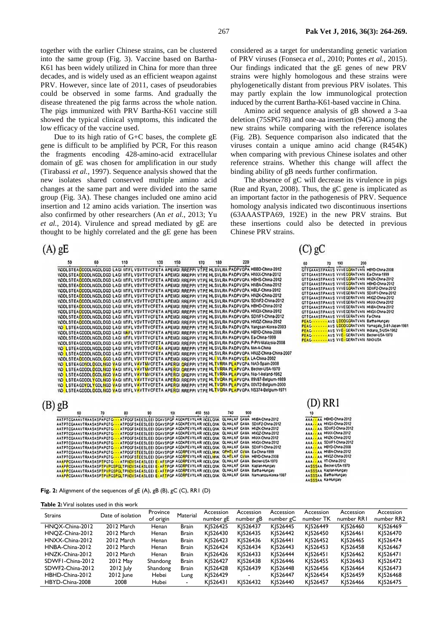together with the earlier Chinese strains, can be clustered into the same group (Fig. 3). Vaccine based on Bartha-K61 has been widely utilized in China for more than three decades, and is widely used as an efficient weapon against PRV. However, since late of 2011, cases of pseudorabies could be observed in some farms. And gradually the disease threatened the pig farms across the whole nation. The pigs immunized with PRV Bartha-K61 vaccine still showed the typical clinical symptoms, this indicated the low efficacy of the vaccine used.

Due to its high ratio of  $G+C$  bases, the complete  $gE$ gene is difficult to be amplified by PCR, For this reason the fragments encoding 428-amino-acid extracellular domain of gE was chosen for amplification in our study (Tirabassi *et al.*, 1997). Sequence analysis showed that the new isolates shared conserved multiple amino acid changes at the same part and were divided into the same group (Fig. 3A). These changes included one amino acid insertion and 12 amino acids variation. The insertion was also confirmed by other researchers (An *et al.*, 2013; Yu *et al.*, 2014). Virulence and spread mediated by gE are thought to be highly correlated and the  $\sigma$ E gene has been

 $(A)$ 

| gE |    |                                                                                                                                                       |     |     |     |     |     |                                                                                                                                                               |
|----|----|-------------------------------------------------------------------------------------------------------------------------------------------------------|-----|-----|-----|-----|-----|---------------------------------------------------------------------------------------------------------------------------------------------------------------|
| 50 | 60 | 110                                                                                                                                                   | 130 | 150 | 170 | 180 | 220 |                                                                                                                                                               |
|    |    |                                                                                                                                                       |     |     |     |     |     | VDDLSTEA <mark>D</mark> DDDLNGDLDGD LAGI WIFL VSVTTVCFETA APEMGI RREPPI VTPE HLSVLRA PADPVGPA H88D-China-2012                                                 |
|    |    | ADDLSTEA <mark>D</mark> DDDLNGDLDGD LAGI WIFLVSVTTVCFETA APEMGI.RREPPI VTPE HLSVLRA PADPVGPA HNXX-China-2012                                          |     |     |     |     |     |                                                                                                                                                               |
|    |    |                                                                                                                                                       |     |     |     |     |     | ADDLSTEA <mark>D</mark> DDDLNGDLDGD LAGI WTFL VSVTTVCFETA APEMGI RREPPI VTPE HLSVLRA PADPVGPA H8HS-China-2012                                                 |
|    |    |                                                                                                                                                       |     |     |     |     |     | ADDLSTEA <mark>D</mark> DDDLNGDLDGD LAGI WIFL VSVTTVCFETA APEMGI RREPPI VTPE HLSVLRA PADPVGPA HNBA-China-2012                                                 |
|    |    | ADDLSTEA <mark>D</mark> DDDLNGDLDGD LAGI WIFL VSVTTVCFETA APEMGI RREPPI VTPE HLSVLRA PADPVGPA HBLF-China-2012                                         |     |     |     |     |     |                                                                                                                                                               |
|    |    |                                                                                                                                                       |     |     |     |     |     | ADDL STEA <mark>D</mark> DDDLNGDLDGD LAGI WIFL VSVTTVCFETA APEMGI RREPPI VTPE HLSVLRA PADPVGPA HNZK-China-2012                                                |
|    |    |                                                                                                                                                       |     |     |     |     |     | VODLSTEADDDDLNGDLDGD LAGI WIFL VSVTTVCFETA APEMGI RREPPI VTPE HLSVLRA PADPVGPA SDWF2-China-2012                                                               |
|    |    |                                                                                                                                                       |     |     |     |     |     | ADDLSTEA <mark>D</mark> DDDLNGDLDGD LAGI WIFL VSVTTVCFETA APEMGI RREPPI VTPE HLSVLRA PADPVGPA HBHD-China-2012                                                 |
|    |    |                                                                                                                                                       |     |     |     |     |     | ADDL STEA <mark>D</mark> DDDLNGDLDGD LAGI WIFL VSVTTVCFETA APEMGI RREPPI VTPE HLSVLRA PADPVGPA HNOX-China-2012                                                |
|    |    |                                                                                                                                                       |     |     |     |     |     | ADDLSTEA <mark>D</mark> DDDLNGDLDGD LAGI WTFLVSVTTVCFETA APEMGI RREPPI VTPE HLSVLRA PADPVGPA SDWF1-China-2012                                                 |
|    |    |                                                                                                                                                       |     |     |     |     |     | VDDLSTEA <mark>D</mark> DDDLNGDLDGD LAGI WIFL VSVTTVCFETA APEMGI RREPPI VTPE HLSVLRA PADPVGPA HNQZ-China-2012                                                 |
|    |    |                                                                                                                                                       |     |     |     |     |     | KD LSTEAGDDDLNGDLDGD LAGI WTFLVSVTTVCFETA APEMGI RREPPI VTPE HLSVLRA PADPVGPA Yangsan-Korea-2003                                                              |
|    |    |                                                                                                                                                       |     |     |     |     |     | ADDL STEAGDDDLNGDLDGD LAGI WAFL VSVTTVCFETA APEMGI RREPPI VTPE HLSVLRA PADPVGPA HBYD-China-2008                                                               |
|    |    | VDDLSTEAGDDDLNGDLDGD LAGI WIFL VSVTTVCFETA APEMGI.RREPPI VTPE HLSVLRA PADPVGPA Ea-China-1999                                                          |     |     |     |     |     |                                                                                                                                                               |
|    |    |                                                                                                                                                       |     |     |     |     |     | ADDLSTEAGDDDLNGDLDGD LAGI WIFL VSVTTVCFETA APEIAGI RREPPI VTPE HLSVLRA PADPVGPA P-PrV-Malaysia-2008                                                           |
|    |    | AD <mark>''L</mark> STEAGDDDLNGDLDGD LAGI WIFL VSVTTVCFE <mark>A</mark> A APEMGI RREPPI VTPE HLSVLRA PADPVGPA Min-A-China                             |     |     |     |     |     |                                                                                                                                                               |
|    |    |                                                                                                                                                       |     |     |     |     |     | KO LSTEAGDDDLNGDLDGD LAGI WIFL VSVTTVCFETA APEMGI RREPPI VTPE HLSVLRA PADPVGPA HNJZ China China 2007                                                          |
|    |    | ADDLSTEADDDDLNGDL <mark>G</mark> GD LAGI WIFL VSVTTVCFETA APEMGI RREPPI VTPE HL <mark>I</mark> VLRA PADPVG <mark>T</mark> A L <del>A-China-2002</del> |     |     |     |     |     |                                                                                                                                                               |
|    |    | VD <mark>-</mark> LSTEAGD <mark>NDLDGDLNGD V</mark> AGI WTFLVAVTMVCFETA APERGI OREPPI VTPE HL <mark>TVR</mark> RA PLAPVGPA NiA3-Spain-2008            |     |     |     |     |     |                                                                                                                                                               |
|    |    | K <mark>D L</mark> STEAGDDDL <mark>D</mark> GDLNGD VAGI WTFL VAVTMVCFETA APERGI OREPPI VTPE HL <mark>TVR</mark> RA PLAPVGPA Becker-USA-1970           |     |     |     |     |     |                                                                                                                                                               |
|    |    |                                                                                                                                                       |     |     |     |     |     | KO <b>rl</b> Steagdddl <mark>D</mark> gdl Ngd Vagi Wifl Vavtinvcfeta Ape <mark>r</mark> gi orgppi ytpe Hl <mark>it</mark> vrra Plapvgpa Nia-1-koland-1962     |
|    |    |                                                                                                                                                       |     |     |     |     |     | VO <mark>T</mark> LSTEAGDDDL <mark>YGDLNGD VAGI WIFL VA</mark> VTTVCFETA APE <mark>R</mark> GI RREPPI VTPE HL <mark>TVQ</mark> RA PLAPVGPA 89V87-Belgium-1989 |
|    |    |                                                                                                                                                       |     |     |     |     |     | KO <mark>TLSTEAGDYDLYGDLNGD VAGI WTFLVA</mark> VTTVCFETA APE <mark>R</mark> GI RREPPI VTPE HL <mark>TVQ</mark> RA PLAPVGPA 00V72-Belgium-2000                 |
|    |    |                                                                                                                                                       |     |     |     |     |     | KO <mark>T</mark> LSTEAGDDDL <mark>D</mark> GDLNGD VAGI WIFL VAVTTVCFETA APE <mark>R</mark> GI RREPPI VTPE HL <mark>TVO</mark> RA PLAPVGPA NS374·Belgium-1971 |

 $(B)$  gB

ENTERTO ANTERNATION AND PROGRAMMENT CONFERENCE IN A CORPENTER WELGER CHALKE GAMA HOD CONFERENCE CHARGE AND PECCALLY RANGEMENT AND PECCALLY RANGEMENT AND CONFERENCE IN A MAPING AND A CONFERENCE CHARGE AND A CONFERENCE CHARG **KO**  $70$ 80 90 10 450 560 740 900

**Fig. 2:** Alignment of the sequences of gE (A), gB (B), gC (C), RR1 (D)

#### **Table 2:**Viral isolates used in this work

| <b>Strains</b>   | Date of isolation | Province  | Material     | Accession | Accession | Accession | Accession | Accession  | Accession  |
|------------------|-------------------|-----------|--------------|-----------|-----------|-----------|-----------|------------|------------|
|                  |                   | of origin |              | number gE | number gB | number gC | number TK | number RRI | number RR2 |
| HNQX-China-2012  | 2012 March        | Henan     | <b>Brain</b> | KI526425  | KI526437  | KI526445  | KI526449  | KI526460   | KI526469   |
| HNOZ-China-2012  | 2012 March        | Henan     | <b>Brain</b> | KI526430  | KI526435  | KI526442  | KI526450  | KI526461   | KI526470   |
| HNXX-China-2012  | 2012 March        | Henan     | <b>Brain</b> | KI526423  | KI526436  | KI526441  | KI526452  | KI526465   | KI526474   |
| HNBA-China-2012  | 2012 March        | Henan     | <b>Brain</b> | KI526424  | KI526434  | KI526443  | KI526453  | KI526458   | KI526467   |
| HNZK-China-2012  | 2012 March        | Henan     | <b>Brain</b> | KI526426  | KI526433  | KI526444  | KI526451  | KI526462   | KI526471   |
| SDWFI-China-2012 | 2012 May          | Shandong  | <b>Brain</b> | KI526427  | KI526438  | KI526446  | KI526455  | KI526463   | KI526472   |
| SDWF2-China-2012 | 2012 July         | Shandong  | <b>Brain</b> | KI526428  | KI526439  | KI526448  | KI526456  | KI526464   | KI526473   |
| HBHD-China-2012  | 2012 June         | Hebei     | Lung         | KI526429  |           | KI526447  | KI526454  | KI526459   | KI526468   |
| HBYD-China-2008  | 2008              | Hubei     |              | KI526431  | KI526432  | KI526440  | KI526457  | KI526466   | KI526475   |

considered as a target for understanding genetic variation of PRV viruses (Fonseca *et al.*, 2010; Pontes *et al.*, 2015). Our findings indicated that the gE genes of new PRV strains were highly homologous and these strains were phylogenetically distant from previous PRV isolates. This may partly explain the low immunological protection induced by the current Bartha-K61-based vaccine in China.

Amino acid sequence analysis of gB showed a 3-aa deletion (75SPG78) and one-aa insertion (94G) among the new strains while comparing with the reference isolates (Fig. 2B). Sequence comparison also indicated that the viruses contain a unique amino acid change (R454K) when comparing with previous Chinese isolates and other reference strains. Whether this change will affect the binding ability of gB needs further confirmation.

The absence of gC will decrease its virulence in pigs (Rue and Ryan, 2008). Thus, the gC gene is implicated as an important factor in the pathogenesis of PRV. Sequence homology analysis indicated two discontinuous insertions (63AAASTPA69, 192E) in the new PRV strains. But these insertions could also be detected in previous Chinese PRV strains.

 $(C)$  gC

PEAC-

190

GTTGAAASTPAAVS VVVEGGRATVAN HEVD-China-2008

 $200$ 

GITGAAASTPAAVS VVECGRATVAN HRVD-China-2008<br>GITGAAASTPAAVS VVVECGRATVAN ERChina-1999<br>GITGAAASTPAAVS VVVECGRATVAN ERCHINA-1999<br>GITGAAASTPAAVS VVVECGRATVAN HRVD-China-2012<br>GITGAAASTPAAVS VVVECGRATVAN SOMFAChina-2012<br>GITGAAAST

AVS VVE-GERATVAN NAS-USA

 $(D) RR1$ 10 AA HBHD-China-2012 **AAA** AAA...AA HENDOMMEZOTZ<br>AAA...AA SDWF2-China-2012<br>AAA...AA SDWF2-China-2012 AAA ... AA HNZK-China-2012 AAA - AA MER-Chris-2012<br>AAA - AA MBYD-Chris-2008<br>AAA - AA MBYD-Chris-2008<br>AAA - AA MBBA-Chris-2012<br>AAA - AA MBQZ-Chris-2012<br>AAA - AA YT-Chins-2012 AAA<mark>++</mark>AA YT-China-2012<br>AASSSAA Becker-USA-1970<br>AASSSAA Kapian-Hungary<br>AASSSAA Ka-Hungary<br>AASSSAA Ka-Hungary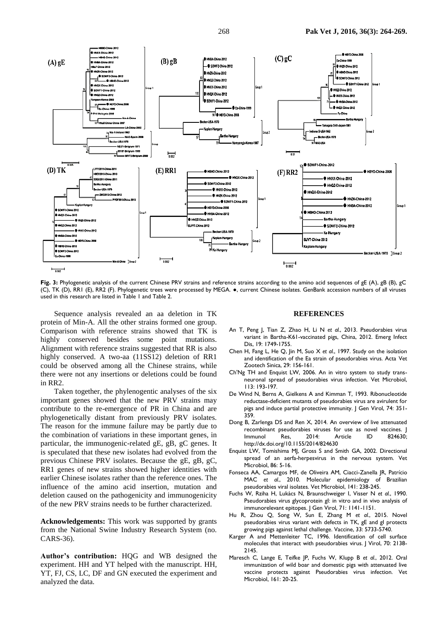

**Fig. 3:** Phylogenetic analysis of the current Chinese PRV strains and reference strains according to the amino acid sequences of gE (A), gB (B), gC (C), TK (D), RR1 (E), RR2 (F). Phylogenetic trees were processed by MEGA. ●, current Chinese isolates. GenBank accession numbers of all viruses used in this research are listed in Table 1 and Table 2.

Sequence analysis revealed an aa deletion in TK protein of Min-A. All the other strains formed one group. Comparison with reference strains showed that TK is highly conserved besides some point mutations. Alignment with reference strains suggested that RR is also highly conserved. A two-aa (11SS12) deletion of RR1 could be observed among all the Chinese strains, while there were not any insertions or deletions could be found in RR2.

Taken together, the phylenogentic analyses of the six important genes showed that the new PRV strains may contribute to the re-emergence of PR in China and are phylogenetically distant from previously PRV isolates. The reason for the immune failure may be partly due to the combination of variations in these important genes, in particular, the immunogenic-related gE, gB, gC genes. It is speculated that these new isolates had evolved from the previous Chinese PRV isolates. Because the gE, gB, gC, RR1 genes of new strains showed higher identities with earlier Chinese isolates rather than the reference ones. The influence of the amino acid insertion, mutation and deletion caused on the pathogenicity and immunogenicity of the new PRV strains needs to be further characterized.

**Acknowledgements:** This work was supported by grants from the National Swine Industry Research System (no. CARS-36).

**Author's contribution:** HQG and WB designed the experiment. HH and YT helped with the manuscript. HH, YT, FJ, CS, LC, DF and GN executed the experiment and analyzed the data.

#### **REFERENCES**

- An T, Peng J, Tian Z, Zhao H, Li N *et al.*, 2013. Pseudorabies virus variant in Bartha-K61-vaccinated pigs, China, 2012. Emerg Infect Dis, 19: 1749-1755.
- Chen H, Fang L, He Q, Jin M, Suo X *et al.*, 1997. Study on the isolation and identification of the Ea strain of pseudorabies virus. Acta Vet Zootech Sinica, 29: 156-161.
- Ch'Ng TH and Enquist LW, 2006. An in vitro system to study transneuronal spread of pseudorabies virus infection. Vet Microbiol, 113: 193-197.
- De Wind N, Berns A, Gielkens A and Kimman T, 1993. Ribonucleotide reductase-deficient mutants of pseudorabies virus are avirulent for pigs and induce partial protective immunity. J Gen Virol, 74: 351- 359.
- Dong B, Zarlenga DS and Ren X, 2014. An overview of live attenuated recombinant pseudorabies viruses for use as novel vaccines. J Immunol Res, 2014: Article ID 824630; http://dx.doi.org/10.1155/2014/824630
- Enquist LW, Tomishima MJ, Gross S and Smith GA, 2002. Directional spread of an aerfa-herpesvirus in the nervous system. Vet Microbiol, 86: 5-16.
- Fonseca AA, Camargos MF, de Oliveira AM, Ciacci-Zanella JR, Patrício MAC *et al.*, 2010. Molecular epidemiology of Brazilian pseudorabies viral isolates. Vet Microbiol, 141: 238-245.
- Fuchs W, Rziha H, Lukàcs N, Braunschweiger I, Visser N *et al.*, 1990. Pseudorabies virus glycoprotein gl: in vitro and in vivo analysis of immunorelevant epitopes. J Gen Virol, 71: 1141-1151.
- Hu R, Zhou Q, Song W, Sun E, Zhang M *et al.*, 2015. Novel pseudorabies virus variant with defects in TK, gE and gl protects growing pigs against lethal challenge. Vaccine, 33: 5733-5740.
- Karger A and Mettenleiter TC, 1996. Identification of cell surface molecules that interact with pseudorabies virus. J Virol, 70: 2138- 2145.
- Maresch C, Lange E, Teifke JP, Fuchs W, Klupp B *et al.*, 2012. Oral immunization of wild boar and domestic pigs with attenuated live vaccine protects against Pseudorabies virus infection. Vet Microbiol, 161: 20-25.